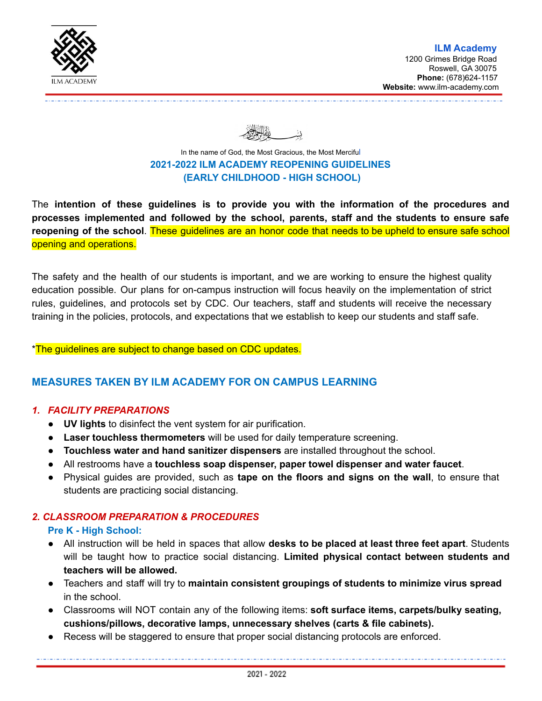

In the name of [God,](https://en.wikipedia.org/wiki/God_in_Islam) the Most [Gracious](https://en.wikipedia.org/wiki/Rahman_(Islamic_term)), the Most [Mercifu](https://en.wikipedia.org/wiki/Rahim)l **2021-2022 ILM ACADEMY REOPENING GUIDELINES (EARLY CHILDHOOD - HIGH SCHOOL)**

The **intention of these guidelines is to provide you with the information of the procedures and processes implemented and followed by the school, parents, staff and the students to ensure safe reopening of the school**. These guidelines are an honor code that needs to be upheld to ensure safe school opening and operations.

The safety and the health of our students is important, and we are working to ensure the highest quality education possible. Our plans for on-campus instruction will focus heavily on the implementation of strict rules, guidelines, and protocols set by CDC. Our teachers, staff and students will receive the necessary training in the policies, protocols, and expectations that we establish to keep our students and staff safe.

#### \*The guidelines are subject to change based on CDC updates.

# **MEASURES TAKEN BY ILM ACADEMY FOR ON CAMPUS LEARNING**

## *1. FACILITY PREPARATIONS*

- **UV lights** to disinfect the vent system for air purification.
- **Laser touchless thermometers** will be used for daily temperature screening.
- **Touchless water and hand sanitizer dispensers** are installed throughout the school.
- All restrooms have a **touchless soap dispenser, paper towel dispenser and water faucet**.
- Physical guides are provided, such as **tape on the floors and signs on the wall**, to ensure that students are practicing social distancing.

# *2. CLASSROOM PREPARATION & PROCEDURES*

#### **Pre K - High School:**

- All instruction will be held in spaces that allow **desks to be placed at least three feet apart**. Students will be taught how to practice social distancing. **Limited physical contact between students and teachers will be allowed.**
- Teachers and staff will try to **maintain consistent groupings of students to minimize virus spread** in the school.
- Classrooms will NOT contain any of the following items: **soft surface items, carpets/bulky seating, cushions/pillows, decorative lamps, unnecessary shelves (carts & file cabinets).**
- Recess will be staggered to ensure that proper social distancing protocols are enforced.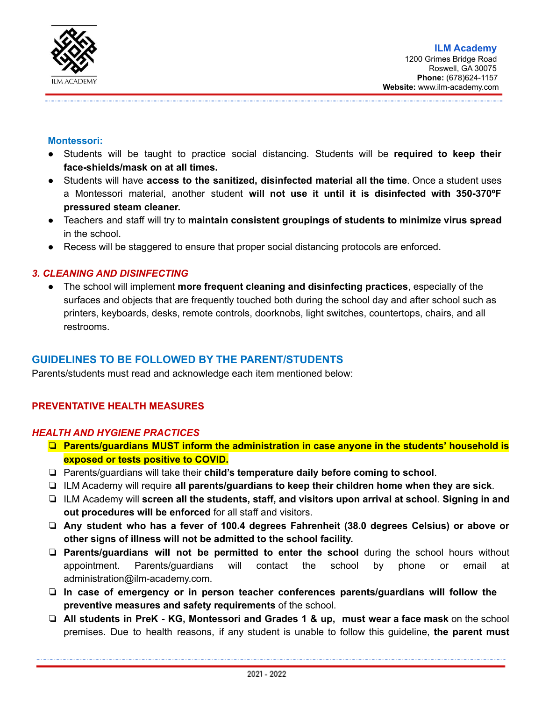

#### **Montessori:**

- Students will be taught to practice social distancing. Students will be **required to keep their face-shields/mask on at all times.**
- Students will have **access to the sanitized, disinfected material all the time**. Once a student uses a Montessori material, another student **will not use it until it is disinfected with 350-370ºF pressured steam cleaner.**
- Teachers and staff will try to **maintain consistent groupings of students to minimize virus spread** in the school.
- Recess will be staggered to ensure that proper social distancing protocols are enforced.

## *3. CLEANING AND DISINFECTING*

● The school will implement **more frequent cleaning and disinfecting practices**, especially of the surfaces and objects that are frequently touched both during the school day and after school such as printers, keyboards, desks, remote controls, doorknobs, light switches, countertops, chairs, and all restrooms.

# **GUIDELINES TO BE FOLLOWED BY THE PARENT/STUDENTS**

Parents/students must read and acknowledge each item mentioned below:

# **PREVENTATIVE HEALTH MEASURES**

#### *HEALTH AND HYGIENE PRACTICES*

- ❏ **Parents/guardians MUST inform the administration in case anyone in the students' household is exposed or tests positive to COVID.**
- ❏ Parents/guardians will take their **child's temperature daily before coming to school**.
- ❏ ILM Academy will require **all parents/guardians to keep their children home when they are sick**.
- ❏ ILM Academy will **screen all the students, staff, and visitors upon arrival at school**. **Signing in and out procedures will be enforced** for all staff and visitors.
- ❏ **Any student who has a fever of 100.4 degrees Fahrenheit (38.0 degrees Celsius) or above or other signs of illness will not be admitted to the school facility.**
- ❏ **Parents/guardians will not be permitted to enter the school** during the school hours without appointment. Parents/guardians will contact the school by phone or email at administration@ilm-academy.com.
- ❏ **In case of emergency or in person teacher conferences parents/guardians will follow the preventive measures and safety requirements** of the school.
- ❏ **All students in PreK - KG, Montessori and Grades 1 & up, must wear a face mask** on the school premises. Due to health reasons, if any student is unable to follow this guideline, **the parent must**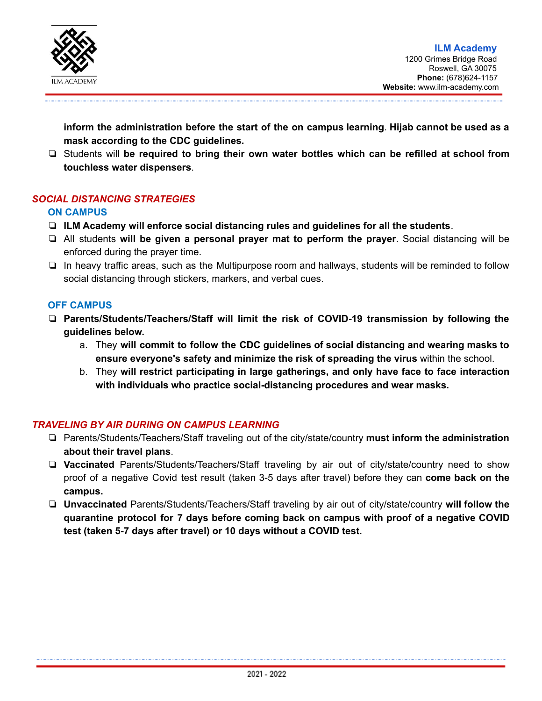

**inform the administration before the start of the on campus learning**. **Hijab cannot be used as a mask according to the CDC guidelines.**

❏ Students will **be required to bring their own water bottles which can be refilled at school from touchless water dispensers**.

# *SOCIAL DISTANCING STRATEGIES*

#### **ON CAMPUS**

- ❏ **ILM Academy will enforce social distancing rules and guidelines for all the students**.
- ❏ All students **will be given a personal prayer mat to perform the prayer**. Social distancing will be enforced during the prayer time.
- ❏ In heavy traffic areas, such as the Multipurpose room and hallways, students will be reminded to follow social distancing through stickers, markers, and verbal cues.

#### **OFF CAMPUS**

- ❏ **Parents/Students/Teachers/Staff will limit the risk of COVID-19 transmission by following the guidelines below.**
	- a. They **will commit to follow the CDC guidelines of social distancing and wearing masks to ensure everyone's safety and minimize the risk of spreading the virus** within the school.
	- b. They **will restrict participating in large gatherings, and only have face to face interaction with individuals who practice social-distancing procedures and wear masks.**

# *TRAVELING BY AIR DURING ON CAMPUS LEARNING*

- ❏ Parents/Students/Teachers/Staff traveling out of the city/state/country **must inform the administration about their travel plans**.
- ❏ **Vaccinated** Parents/Students/Teachers/Staff traveling by air out of city/state/country need to show proof of a negative Covid test result (taken 3-5 days after travel) before they can **come back on the campus.**
- ❏ **Unvaccinated** Parents/Students/Teachers/Staff traveling by air out of city/state/country **will follow the quarantine protocol for 7 days before coming back on campus with proof of a negative COVID test (taken 5-7 days after travel) or 10 days without a COVID test.**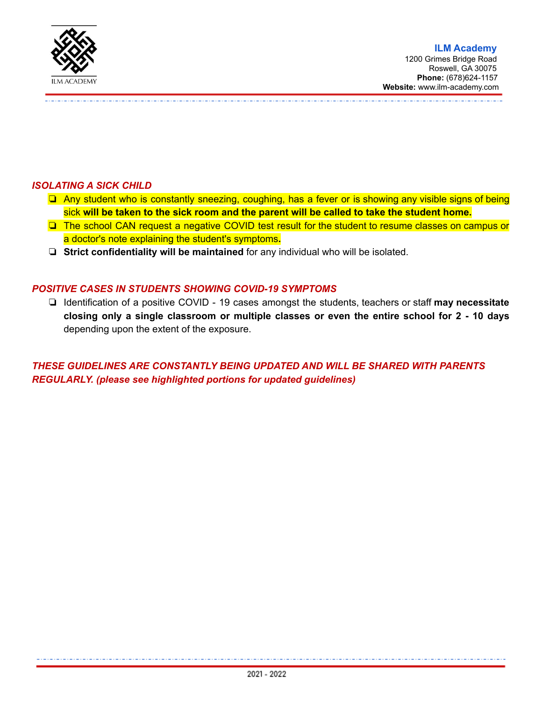

# *ISOLATING A SICK CHILD*

- ❏ Any student who is constantly sneezing, coughing, has a fever or is showing any visible signs of being sick **will be taken to the sick room and the parent will be called to take the student home.**
- ❏ The school CAN request a negative COVID test result for the student to resume classes on campus or a doctor's note explaining the student's symptoms**.**
- ❏ **Strict confidentiality will be maintained** for any individual who will be isolated.

## *POSITIVE CASES IN STUDENTS SHOWING COVID-19 SYMPTOMS*

❏ Identification of a positive COVID - 19 cases amongst the students, teachers or staff **may necessitate closing only a single classroom or multiple classes or even the entire school for 2 - 10 days** depending upon the extent of the exposure.

*THESE GUIDELINES ARE CONSTANTLY BEING UPDATED AND WILL BE SHARED WITH PARENTS REGULARLY. (please see highlighted portions for updated guidelines)*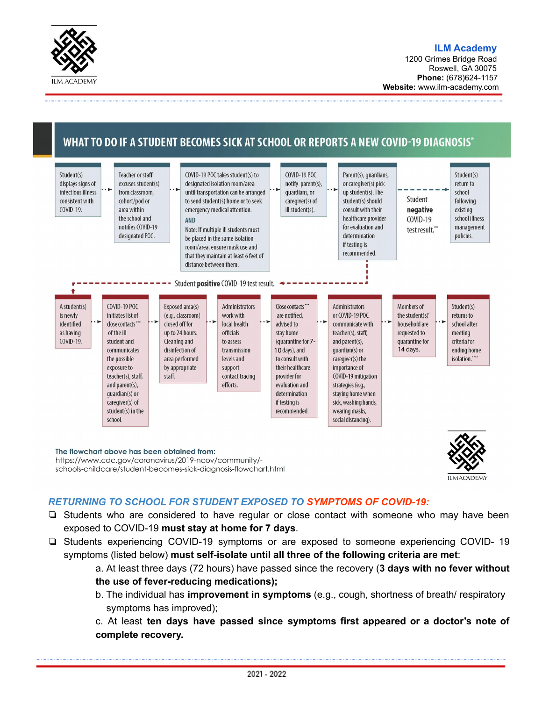

1200 Grimes Bridge Road Roswell, GA 30075 **Phone:** (678)624-1157 **Website:** www.ilm-academy.com

# WHAT TO DO IF A STUDENT BECOMES SICK AT SCHOOL OR REPORTS A NEW COVID-19 DIAGNOSIS\*



The flowchart above has been obtained from: https://www.cdc.gov/coronavirus/2019-ncov/community/schools-childcare/student-becomes-sick-diagnosis-flowchart.html



# *RETURNING TO SCHOOL FOR STUDENT EXPOSED TO SYMPTOMS OF COVID-19:*

- ❏ Students who are considered to have regular or close contact with someone who may have been exposed to COVID-19 **must stay at home for 7 days**.
- ❏ Students experiencing COVID-19 symptoms or are exposed to someone experiencing COVID- 19 symptoms (listed below) **must self-isolate until all three of the following criteria are met**:
	- a. At least three days (72 hours) have passed since the recovery (**3 days with no fever without the use of fever-reducing medications);**
	- b. The individual has **improvement in symptoms** (e.g., cough, shortness of breath/ respiratory symptoms has improved);

c. At least **ten days have passed since symptoms first appeared or a doctor's note of complete recovery.**